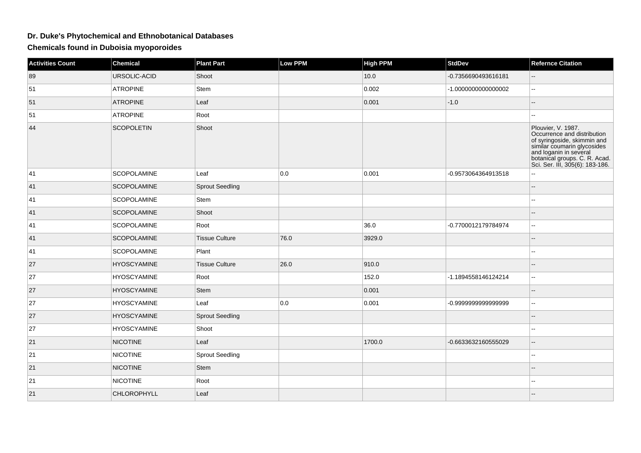## **Dr. Duke's Phytochemical and Ethnobotanical Databases**

**Chemicals found in Duboisia myoporoides**

| <b>Activities Count</b> | <b>Chemical</b>    | <b>Plant Part</b>      | <b>Low PPM</b> | <b>High PPM</b> | <b>StdDev</b>       | <b>Refernce Citation</b>                                                                                                                                                                                      |
|-------------------------|--------------------|------------------------|----------------|-----------------|---------------------|---------------------------------------------------------------------------------------------------------------------------------------------------------------------------------------------------------------|
| 89                      | URSOLIC-ACID       | Shoot                  |                | 10.0            | -0.7356690493616181 | $\mathord{\hspace{1pt}\text{--}\hspace{1pt}}$                                                                                                                                                                 |
| 51                      | <b>ATROPINE</b>    | Stem                   |                | 0.002           | -1.000000000000002  |                                                                                                                                                                                                               |
| 51                      | <b>ATROPINE</b>    | Leaf                   |                | 0.001           | $-1.0$              | --                                                                                                                                                                                                            |
| 51                      | <b>ATROPINE</b>    | Root                   |                |                 |                     | --                                                                                                                                                                                                            |
| 44                      | <b>SCOPOLETIN</b>  | Shoot                  |                |                 |                     | Plouvier, V. 1987.<br>Occurrence and distribution<br>of syringoside, skimmin and<br>similar coumarin glycosides<br>and loganin in several<br>botanical groups. C. R. Acad.<br>Sci. Ser. III, 305(6): 183-186. |
| 41                      | <b>SCOPOLAMINE</b> | Leaf                   | 0.0            | 0.001           | -0.9573064364913518 | ۵.                                                                                                                                                                                                            |
| 41                      | <b>SCOPOLAMINE</b> | Sprout Seedling        |                |                 |                     | н.                                                                                                                                                                                                            |
| 41                      | <b>SCOPOLAMINE</b> | Stem                   |                |                 |                     |                                                                                                                                                                                                               |
| 41                      | <b>SCOPOLAMINE</b> | Shoot                  |                |                 |                     |                                                                                                                                                                                                               |
| 41                      | SCOPOLAMINE        | Root                   |                | 36.0            | -0.7700012179784974 | $\overline{\phantom{a}}$                                                                                                                                                                                      |
| 41                      | <b>SCOPOLAMINE</b> | <b>Tissue Culture</b>  | 76.0           | 3929.0          |                     | --                                                                                                                                                                                                            |
| 41                      | SCOPOLAMINE        | Plant                  |                |                 |                     | --                                                                                                                                                                                                            |
| 27                      | <b>HYOSCYAMINE</b> | <b>Tissue Culture</b>  | 26.0           | 910.0           |                     |                                                                                                                                                                                                               |
| 27                      | <b>HYOSCYAMINE</b> | Root                   |                | 152.0           | -1.1894558146124214 | 44                                                                                                                                                                                                            |
| 27                      | <b>HYOSCYAMINE</b> | Stem                   |                | 0.001           |                     | --                                                                                                                                                                                                            |
| 27                      | <b>HYOSCYAMINE</b> | Leaf                   | 0.0            | 0.001           | -0.9999999999999999 | ۰.                                                                                                                                                                                                            |
| 27                      | <b>HYOSCYAMINE</b> | <b>Sprout Seedling</b> |                |                 |                     | $-$                                                                                                                                                                                                           |
| 27                      | <b>HYOSCYAMINE</b> | Shoot                  |                |                 |                     |                                                                                                                                                                                                               |
| 21                      | <b>NICOTINE</b>    | Leaf                   |                | 1700.0          | -0.6633632160555029 | $\overline{a}$                                                                                                                                                                                                |
| 21                      | <b>NICOTINE</b>    | <b>Sprout Seedling</b> |                |                 |                     | --                                                                                                                                                                                                            |
| 21                      | <b>NICOTINE</b>    | <b>Stem</b>            |                |                 |                     |                                                                                                                                                                                                               |
| 21                      | <b>NICOTINE</b>    | Root                   |                |                 |                     | н.                                                                                                                                                                                                            |
| 21                      | <b>CHLOROPHYLL</b> | Leaf                   |                |                 |                     |                                                                                                                                                                                                               |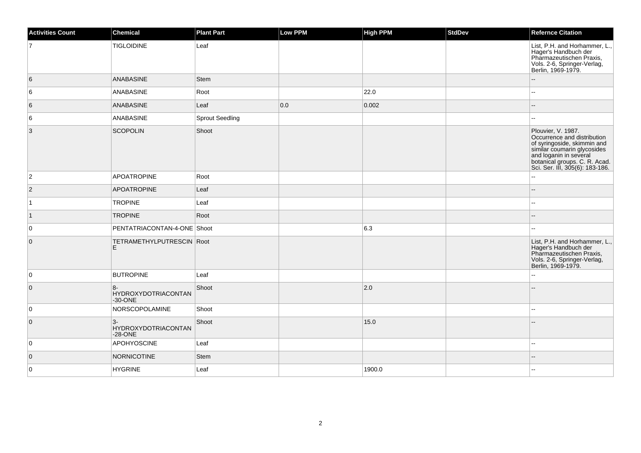| <b>Activities Count</b> | Chemical                                          | <b>Plant Part</b>      | Low PPM | <b>High PPM</b> | <b>StdDev</b> | <b>Refernce Citation</b>                                                                                                                                                                                          |
|-------------------------|---------------------------------------------------|------------------------|---------|-----------------|---------------|-------------------------------------------------------------------------------------------------------------------------------------------------------------------------------------------------------------------|
|                         | <b>TIGLOIDINE</b>                                 | Leaf                   |         |                 |               | List, P.H. and Horhammer, L.,<br>Eager's Handbuch der<br>Pharmazeutischen Praxis,<br>Vols. 2-6, Springer-Verlag,<br>Berlin, 1969-1979.                                                                            |
| 6                       | <b>ANABASINE</b>                                  | <b>Stem</b>            |         |                 |               |                                                                                                                                                                                                                   |
| 6                       | ANABASINE                                         | Root                   |         | 22.0            |               |                                                                                                                                                                                                                   |
| $6\overline{6}$         | <b>ANABASINE</b>                                  | Leaf                   | 0.0     | 0.002           |               |                                                                                                                                                                                                                   |
| 6                       | ANABASINE                                         | <b>Sprout Seedling</b> |         |                 |               |                                                                                                                                                                                                                   |
| $\overline{3}$          | <b>SCOPOLIN</b>                                   | Shoot                  |         |                 |               | Plouvier, V. 1987.<br>Occurrence and distribution<br>of syringoside, skimmin and<br>or oriental countain glycosides<br>and loganin in several<br>botanical groups. C. R. Acad.<br>Sci. Ser. III, 305(6): 183-186. |
| $\overline{2}$          | <b>APOATROPINE</b>                                | Root                   |         |                 |               | $\overline{a}$                                                                                                                                                                                                    |
| $ 2\rangle$             | <b>APOATROPINE</b>                                | Leaf                   |         |                 |               |                                                                                                                                                                                                                   |
| $\overline{1}$          | <b>TROPINE</b>                                    | Leaf                   |         |                 |               |                                                                                                                                                                                                                   |
| $\vert$ 1               | <b>TROPINE</b>                                    | Root                   |         |                 |               |                                                                                                                                                                                                                   |
| $\overline{0}$          | PENTATRIACONTAN-4-ONE Shoot                       |                        |         | 6.3             |               |                                                                                                                                                                                                                   |
| $\overline{0}$          | TETRAMETHYLPUTRESCIN Root<br>E                    |                        |         |                 |               | List, P.H. and Horhammer, L.,<br>Hager's Handbuch der<br>Pharmazeutischen Praxis,<br>Vols. 2-6, Springer-Verlag,<br>Berlin, 1969-1979.                                                                            |
| $\overline{0}$          | <b>BUTROPINE</b>                                  | Leaf                   |         |                 |               |                                                                                                                                                                                                                   |
| $\overline{0}$          | $8-$<br><b>HYDROXYDOTRIACONTAN</b><br>$-30 - ONE$ | Shoot                  |         | 2.0             |               |                                                                                                                                                                                                                   |
| 0                       | NORSCOPOLAMINE                                    | Shoot                  |         |                 |               |                                                                                                                                                                                                                   |
| $\overline{0}$          | $3-$<br><b>HYDROXYDOTRIACONTAN</b><br>$-28 - ONE$ | Shoot                  |         | 15.0            |               |                                                                                                                                                                                                                   |
| $\overline{0}$          | APOHYOSCINE                                       | Leaf                   |         |                 |               |                                                                                                                                                                                                                   |
| $\overline{0}$          | NORNICOTINE                                       | <b>Stem</b>            |         |                 |               |                                                                                                                                                                                                                   |
| $\overline{0}$          | <b>HYGRINE</b>                                    | Leaf                   |         | 1900.0          |               |                                                                                                                                                                                                                   |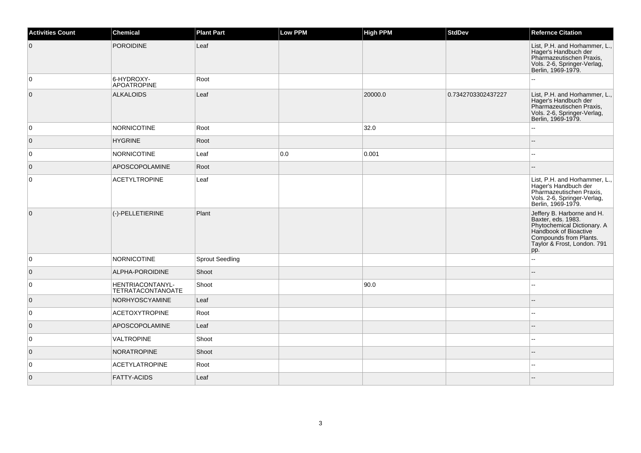| <b>Activities Count</b> | Chemical                                     | <b>Plant Part</b>      | <b>Low PPM</b> | <b>High PPM</b> | <b>StdDev</b>      | <b>Refernce Citation</b>                                                                                                                                                 |
|-------------------------|----------------------------------------------|------------------------|----------------|-----------------|--------------------|--------------------------------------------------------------------------------------------------------------------------------------------------------------------------|
| $\overline{0}$          | POROIDINE                                    | Leaf                   |                |                 |                    | List, P.H. and Horhammer, L.,<br>Hager's Handbuch der<br>Pharmazeutischen Praxis,<br>Vols. 2-6, Springer-Verlag,<br>Berlin, 1969-1979.                                   |
| 0                       | 6-HYDROXY-<br>APOATROPINE                    | Root                   |                |                 |                    |                                                                                                                                                                          |
| $\overline{0}$          | ALKALOIDS                                    | Leaf                   |                | 20000.0         | 0.7342703302437227 | List, P.H. and Horhammer, L.,<br>Hager's Handbuch der<br>Pharmazeutischen Praxis,<br>Vols. 2-6, Springer-Verlag,<br>Berlin, 1969-1979.                                   |
| 0                       | NORNICOTINE                                  | Root                   |                | 32.0            |                    |                                                                                                                                                                          |
| $\overline{0}$          | <b>HYGRINE</b>                               | Root                   |                |                 |                    |                                                                                                                                                                          |
| $\overline{0}$          | NORNICOTINE                                  | Leaf                   | 0.0            | 0.001           |                    |                                                                                                                                                                          |
| $\overline{0}$          | <b>APOSCOPOLAMINE</b>                        | Root                   |                |                 |                    |                                                                                                                                                                          |
| 0                       | <b>ACETYLTROPINE</b>                         | Leaf                   |                |                 |                    | List, P.H. and Horhammer, L.,<br>Hager's Handbuch der<br>Pharmazeutischen Praxis,<br>Vols. 2-6, Springer-Verlag,<br>Berlin, 1969-1979.                                   |
| $\overline{0}$          | (-)-PELLETIERINE                             | Plant                  |                |                 |                    | Jeffery B. Harborne and H.<br>Baxter, eds. 1983.<br>Phytochemical Dictionary. A<br>Handbook of Bioactive<br>Compounds from Plants.<br>Taylor & Frost, London. 791<br>pp. |
| 0                       | NORNICOTINE                                  | <b>Sprout Seedling</b> |                |                 |                    | $\overline{a}$                                                                                                                                                           |
| $\overline{0}$          | ALPHA-POROIDINE                              | Shoot                  |                |                 |                    |                                                                                                                                                                          |
| 0                       | HENTRIACONTANYL-<br><b>TETRATACONTANOATE</b> | Shoot                  |                | 90.0            |                    |                                                                                                                                                                          |
| $\overline{0}$          | NORHYOSCYAMINE                               | Leaf                   |                |                 |                    |                                                                                                                                                                          |
| 0                       | ACETOXYTROPINE                               | Root                   |                |                 |                    |                                                                                                                                                                          |
| $\overline{0}$          | <b>APOSCOPOLAMINE</b>                        | Leaf                   |                |                 |                    |                                                                                                                                                                          |
| $\overline{0}$          | <b>VALTROPINE</b>                            | Shoot                  |                |                 |                    |                                                                                                                                                                          |
| $\overline{0}$          | NORATROPINE                                  | Shoot                  |                |                 |                    | $-$                                                                                                                                                                      |
| 0                       | <b>ACETYLATROPINE</b>                        | Root                   |                |                 |                    |                                                                                                                                                                          |
| $\overline{0}$          | <b>FATTY-ACIDS</b>                           | Leaf                   |                |                 |                    |                                                                                                                                                                          |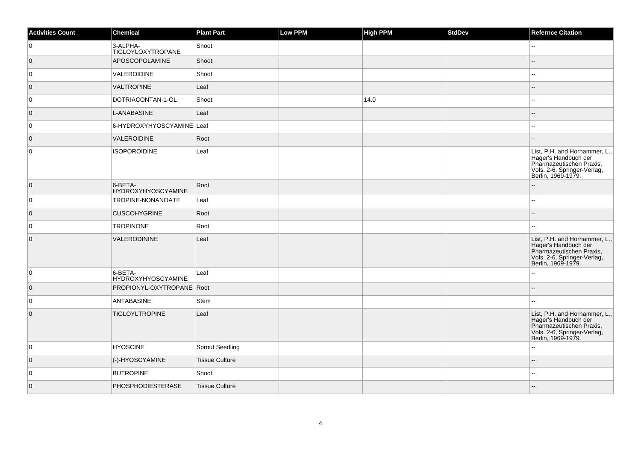| <b>Activities Count</b> | Chemical                             | <b>Plant Part</b>     | Low PPM | <b>High PPM</b> | <b>StdDev</b> | <b>Refernce Citation</b>                                                                                                               |
|-------------------------|--------------------------------------|-----------------------|---------|-----------------|---------------|----------------------------------------------------------------------------------------------------------------------------------------|
| 0                       | 3-ALPHA-<br>TIGLOYLOXYTROPANE        | Shoot                 |         |                 |               | --                                                                                                                                     |
| $\overline{0}$          | APOSCOPOLAMINE                       | Shoot                 |         |                 |               | $-$                                                                                                                                    |
| $\overline{0}$          | VALEROIDINE                          | Shoot                 |         |                 |               | $\sim$                                                                                                                                 |
| $\overline{0}$          | <b>VALTROPINE</b>                    | Leaf                  |         |                 |               |                                                                                                                                        |
| 0                       | DOTRIACONTAN-1-OL                    | Shoot                 |         | 14.0            |               | $\overline{a}$                                                                                                                         |
| $\overline{0}$          | L-ANABASINE                          | Leaf                  |         |                 |               |                                                                                                                                        |
| $\overline{0}$          | 6-HYDROXYHYOSCYAMINE Leaf            |                       |         |                 |               |                                                                                                                                        |
| $\overline{0}$          | VALEROIDINE                          | Root                  |         |                 |               |                                                                                                                                        |
| 0                       | <b>ISOPOROIDINE</b>                  | Leaf                  |         |                 |               | List, P.H. and Horhammer, L.,<br>Hager's Handbuch der<br>Pharmazeutischen Praxis,<br>Vols. 2-6, Springer-Verlag,<br>Berlin, 1969-1979. |
| $\overline{0}$          | 6-BETA-<br><b>HYDROXYHYOSCYAMINE</b> | Root                  |         |                 |               |                                                                                                                                        |
| 0                       | <b>TROPINE-NONANOATE</b>             | Leaf                  |         |                 |               | ۵.                                                                                                                                     |
| $\overline{0}$          | <b>CUSCOHYGRINE</b>                  | Root                  |         |                 |               |                                                                                                                                        |
| $\overline{0}$          | <b>TROPINONE</b>                     | Root                  |         |                 |               |                                                                                                                                        |
| $\overline{0}$          | VALERODININE                         | Leaf                  |         |                 |               | List, P.H. and Horhammer, L.,<br>Hager's Handbuch der<br>Pharmazeutischen Praxis,<br>Vols. 2-6, Springer-Verlag,<br>Berlin, 1969-1979. |
| $\overline{0}$          | 6-BETA-<br>HYDROXYHYOSCYAMINE        | Leaf                  |         |                 |               | ۵.                                                                                                                                     |
| $\overline{0}$          | PROPIONYL-OXYTROPANE Root            |                       |         |                 |               | --                                                                                                                                     |
| 0                       | ANTABASINE                           | Stem                  |         |                 |               | $\overline{a}$                                                                                                                         |
| $\overline{0}$          | <b>TIGLOYLTROPINE</b>                | Leaf                  |         |                 |               | List, P.H. and Horhammer, L.,<br>Hager's Handbuch der<br>Pharmazeutischen Praxis,<br>Vols. 2-6, Springer-Verlag,<br>Berlin, 1969-1979. |
| 0                       | <b>HYOSCINE</b>                      | Sprout Seedling       |         |                 |               |                                                                                                                                        |
| $\overline{0}$          | (-)-HYOSCYAMINE                      | <b>Tissue Culture</b> |         |                 |               | ш,                                                                                                                                     |
| $\overline{0}$          | <b>BUTROPINE</b>                     | Shoot                 |         |                 |               | --                                                                                                                                     |
| $\overline{0}$          | PHOSPHODIESTERASE                    | <b>Tissue Culture</b> |         |                 |               |                                                                                                                                        |